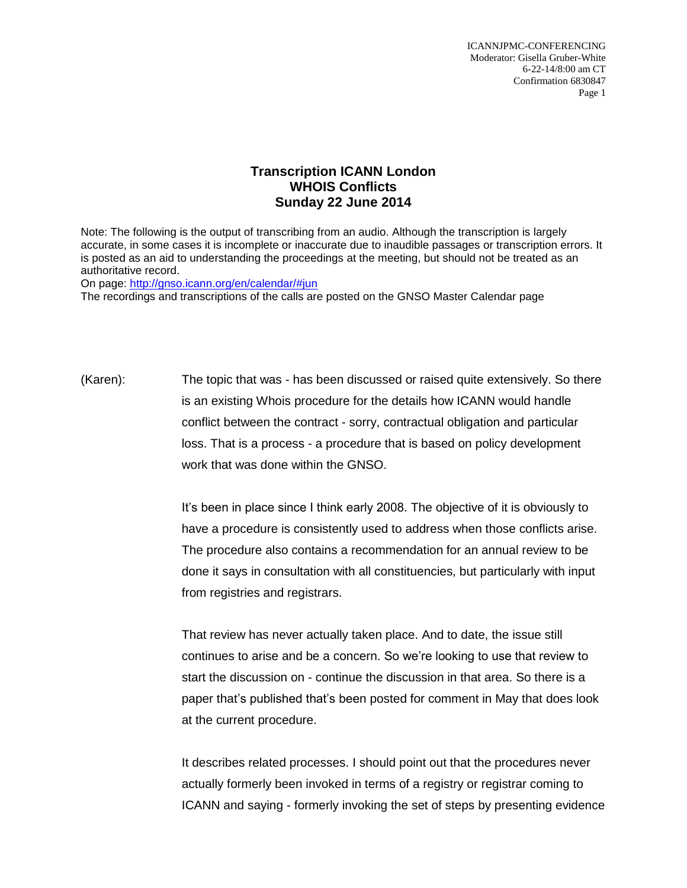ICANNJPMC-CONFERENCING Moderator: Gisella Gruber-White 6-22-14/8:00 am CT Confirmation 6830847 Page 1

## **Transcription ICANN London WHOIS Conflicts Sunday 22 June 2014**

Note: The following is the output of transcribing from an audio. Although the transcription is largely accurate, in some cases it is incomplete or inaccurate due to inaudible passages or transcription errors. It is posted as an aid to understanding the proceedings at the meeting, but should not be treated as an authoritative record.

On page:<http://gnso.icann.org/en/calendar/#jun>

The recordings and transcriptions of the calls are posted on the GNSO Master Calendar page

(Karen): The topic that was - has been discussed or raised quite extensively. So there is an existing Whois procedure for the details how ICANN would handle conflict between the contract - sorry, contractual obligation and particular loss. That is a process - a procedure that is based on policy development work that was done within the GNSO.

> It's been in place since I think early 2008. The objective of it is obviously to have a procedure is consistently used to address when those conflicts arise. The procedure also contains a recommendation for an annual review to be done it says in consultation with all constituencies, but particularly with input from registries and registrars.

> That review has never actually taken place. And to date, the issue still continues to arise and be a concern. So we're looking to use that review to start the discussion on - continue the discussion in that area. So there is a paper that's published that's been posted for comment in May that does look at the current procedure.

It describes related processes. I should point out that the procedures never actually formerly been invoked in terms of a registry or registrar coming to ICANN and saying - formerly invoking the set of steps by presenting evidence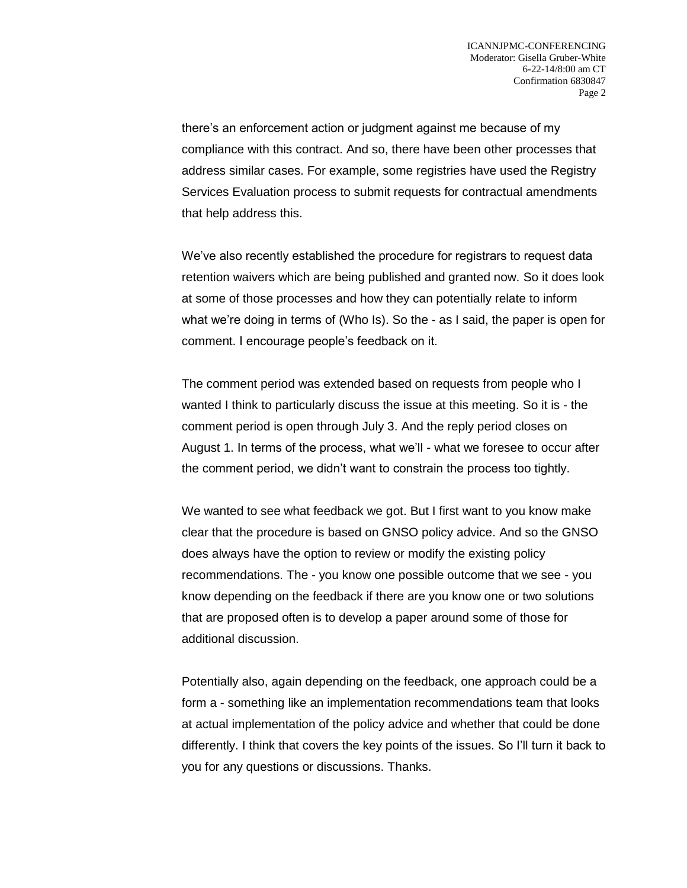there's an enforcement action or judgment against me because of my compliance with this contract. And so, there have been other processes that address similar cases. For example, some registries have used the Registry Services Evaluation process to submit requests for contractual amendments that help address this.

We've also recently established the procedure for registrars to request data retention waivers which are being published and granted now. So it does look at some of those processes and how they can potentially relate to inform what we're doing in terms of (Who Is). So the - as I said, the paper is open for comment. I encourage people's feedback on it.

The comment period was extended based on requests from people who I wanted I think to particularly discuss the issue at this meeting. So it is - the comment period is open through July 3. And the reply period closes on August 1. In terms of the process, what we'll - what we foresee to occur after the comment period, we didn't want to constrain the process too tightly.

We wanted to see what feedback we got. But I first want to you know make clear that the procedure is based on GNSO policy advice. And so the GNSO does always have the option to review or modify the existing policy recommendations. The - you know one possible outcome that we see - you know depending on the feedback if there are you know one or two solutions that are proposed often is to develop a paper around some of those for additional discussion.

Potentially also, again depending on the feedback, one approach could be a form a - something like an implementation recommendations team that looks at actual implementation of the policy advice and whether that could be done differently. I think that covers the key points of the issues. So I'll turn it back to you for any questions or discussions. Thanks.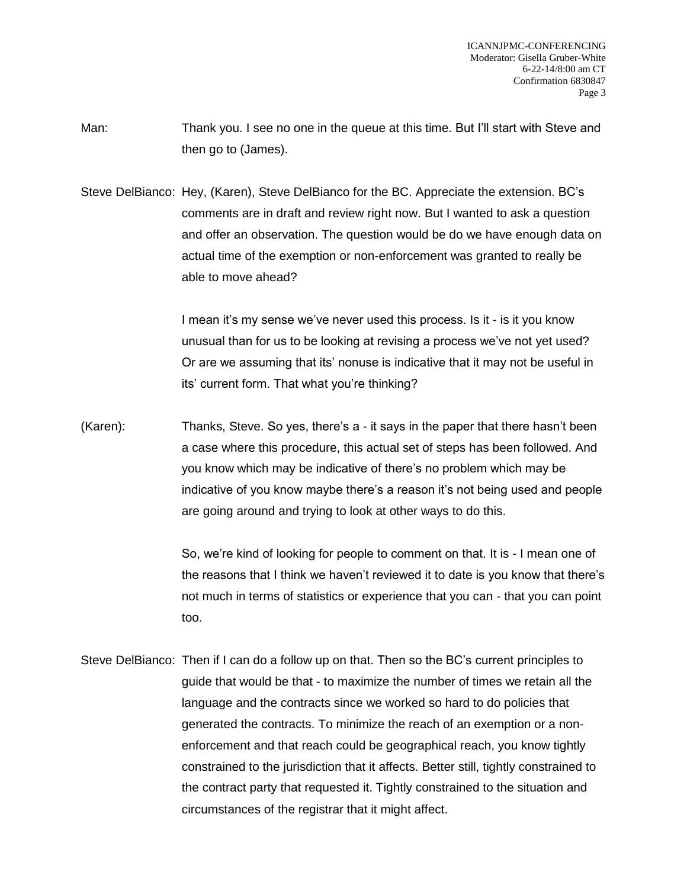Man: Thank you. I see no one in the queue at this time. But I'll start with Steve and then go to (James).

Steve DelBianco: Hey, (Karen), Steve DelBianco for the BC. Appreciate the extension. BC's comments are in draft and review right now. But I wanted to ask a question and offer an observation. The question would be do we have enough data on actual time of the exemption or non-enforcement was granted to really be able to move ahead?

> I mean it's my sense we've never used this process. Is it - is it you know unusual than for us to be looking at revising a process we've not yet used? Or are we assuming that its' nonuse is indicative that it may not be useful in its' current form. That what you're thinking?

(Karen): Thanks, Steve. So yes, there's a - it says in the paper that there hasn't been a case where this procedure, this actual set of steps has been followed. And you know which may be indicative of there's no problem which may be indicative of you know maybe there's a reason it's not being used and people are going around and trying to look at other ways to do this.

> So, we're kind of looking for people to comment on that. It is - I mean one of the reasons that I think we haven't reviewed it to date is you know that there's not much in terms of statistics or experience that you can - that you can point too.

Steve DelBianco: Then if I can do a follow up on that. Then so the BC's current principles to guide that would be that - to maximize the number of times we retain all the language and the contracts since we worked so hard to do policies that generated the contracts. To minimize the reach of an exemption or a nonenforcement and that reach could be geographical reach, you know tightly constrained to the jurisdiction that it affects. Better still, tightly constrained to the contract party that requested it. Tightly constrained to the situation and circumstances of the registrar that it might affect.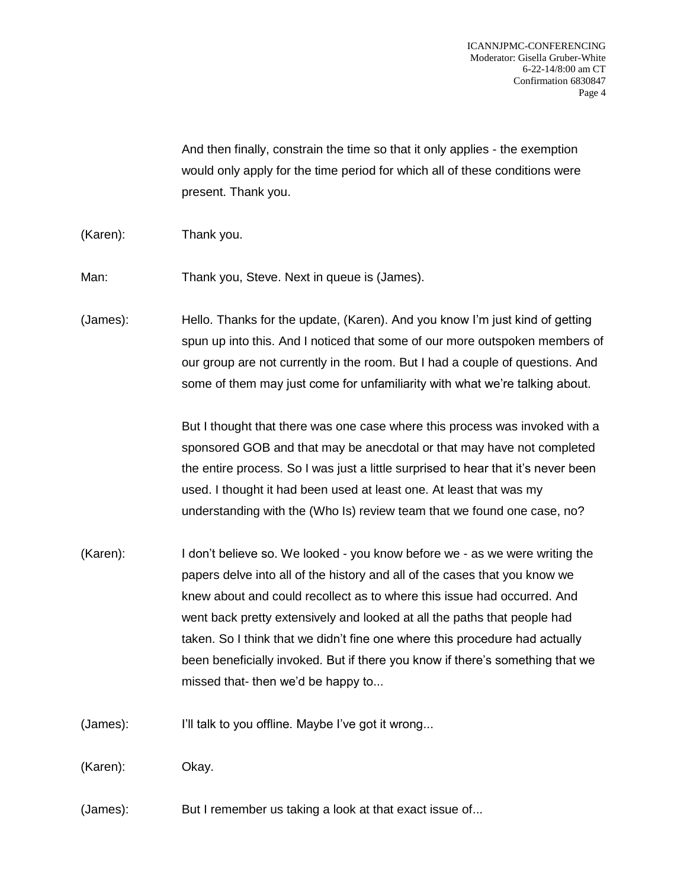And then finally, constrain the time so that it only applies - the exemption would only apply for the time period for which all of these conditions were present. Thank you.

(Karen): Thank you.

Man: Thank you, Steve. Next in queue is (James).

(James): Hello. Thanks for the update, (Karen). And you know I'm just kind of getting spun up into this. And I noticed that some of our more outspoken members of our group are not currently in the room. But I had a couple of questions. And some of them may just come for unfamiliarity with what we're talking about.

> But I thought that there was one case where this process was invoked with a sponsored GOB and that may be anecdotal or that may have not completed the entire process. So I was just a little surprised to hear that it's never been used. I thought it had been used at least one. At least that was my understanding with the (Who Is) review team that we found one case, no?

(Karen): I don't believe so. We looked - you know before we - as we were writing the papers delve into all of the history and all of the cases that you know we knew about and could recollect as to where this issue had occurred. And went back pretty extensively and looked at all the paths that people had taken. So I think that we didn't fine one where this procedure had actually been beneficially invoked. But if there you know if there's something that we missed that- then we'd be happy to...

(James): I'll talk to you offline. Maybe I've got it wrong...

(Karen): Okay.

(James): But I remember us taking a look at that exact issue of...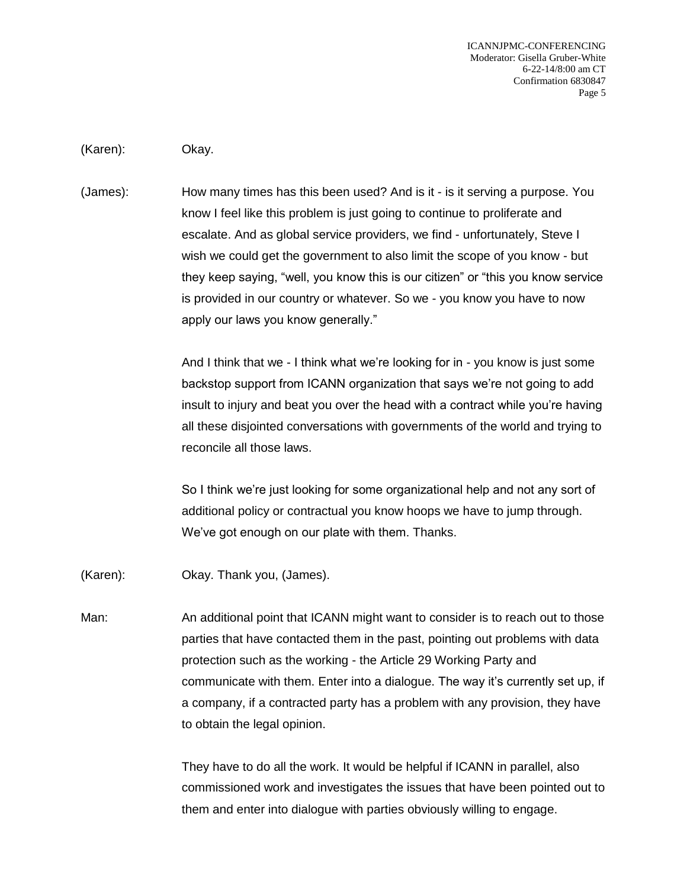ICANNJPMC-CONFERENCING Moderator: Gisella Gruber-White 6-22-14/8:00 am CT Confirmation 6830847 Page 5

(Karen): Okay.

(James): How many times has this been used? And is it - is it serving a purpose. You know I feel like this problem is just going to continue to proliferate and escalate. And as global service providers, we find - unfortunately, Steve I wish we could get the government to also limit the scope of you know - but they keep saying, "well, you know this is our citizen" or "this you know service is provided in our country or whatever. So we - you know you have to now apply our laws you know generally."

> And I think that we - I think what we're looking for in - you know is just some backstop support from ICANN organization that says we're not going to add insult to injury and beat you over the head with a contract while you're having all these disjointed conversations with governments of the world and trying to reconcile all those laws.

So I think we're just looking for some organizational help and not any sort of additional policy or contractual you know hoops we have to jump through. We've got enough on our plate with them. Thanks.

(Karen): Okay. Thank you, (James).

Man: An additional point that ICANN might want to consider is to reach out to those parties that have contacted them in the past, pointing out problems with data protection such as the working - the Article 29 Working Party and communicate with them. Enter into a dialogue. The way it's currently set up, if a company, if a contracted party has a problem with any provision, they have to obtain the legal opinion.

> They have to do all the work. It would be helpful if ICANN in parallel, also commissioned work and investigates the issues that have been pointed out to them and enter into dialogue with parties obviously willing to engage.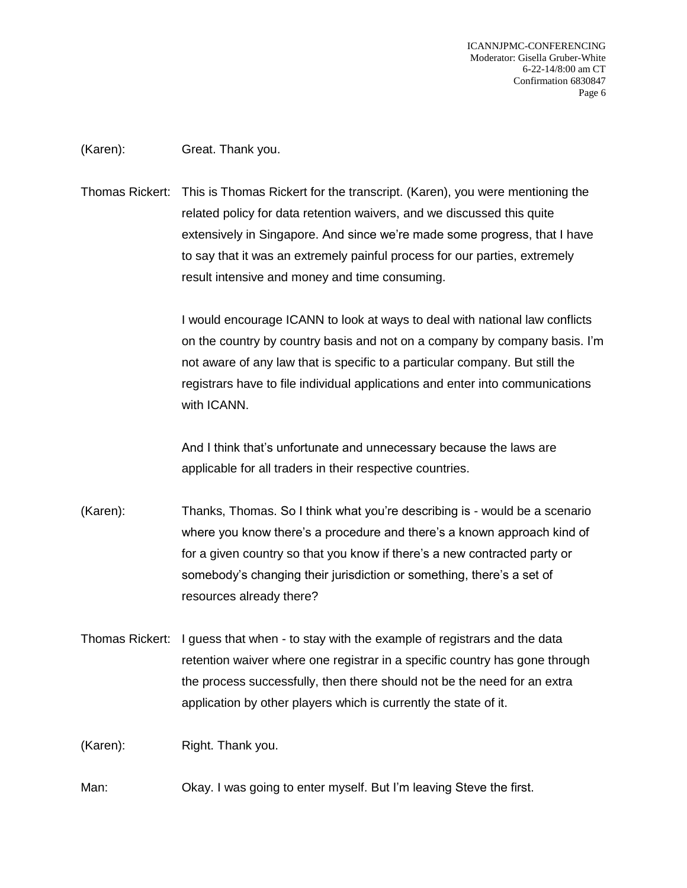ICANNJPMC-CONFERENCING Moderator: Gisella Gruber-White 6-22-14/8:00 am CT Confirmation 6830847 Page 6

(Karen): Great. Thank you.

Thomas Rickert: This is Thomas Rickert for the transcript. (Karen), you were mentioning the related policy for data retention waivers, and we discussed this quite extensively in Singapore. And since we're made some progress, that I have to say that it was an extremely painful process for our parties, extremely result intensive and money and time consuming.

> I would encourage ICANN to look at ways to deal with national law conflicts on the country by country basis and not on a company by company basis. I'm not aware of any law that is specific to a particular company. But still the registrars have to file individual applications and enter into communications with ICANN.

And I think that's unfortunate and unnecessary because the laws are applicable for all traders in their respective countries.

- (Karen): Thanks, Thomas. So I think what you're describing is would be a scenario where you know there's a procedure and there's a known approach kind of for a given country so that you know if there's a new contracted party or somebody's changing their jurisdiction or something, there's a set of resources already there?
- Thomas Rickert: I guess that when to stay with the example of registrars and the data retention waiver where one registrar in a specific country has gone through the process successfully, then there should not be the need for an extra application by other players which is currently the state of it.

(Karen): Right. Thank you.

Man: Okay. I was going to enter myself. But I'm leaving Steve the first.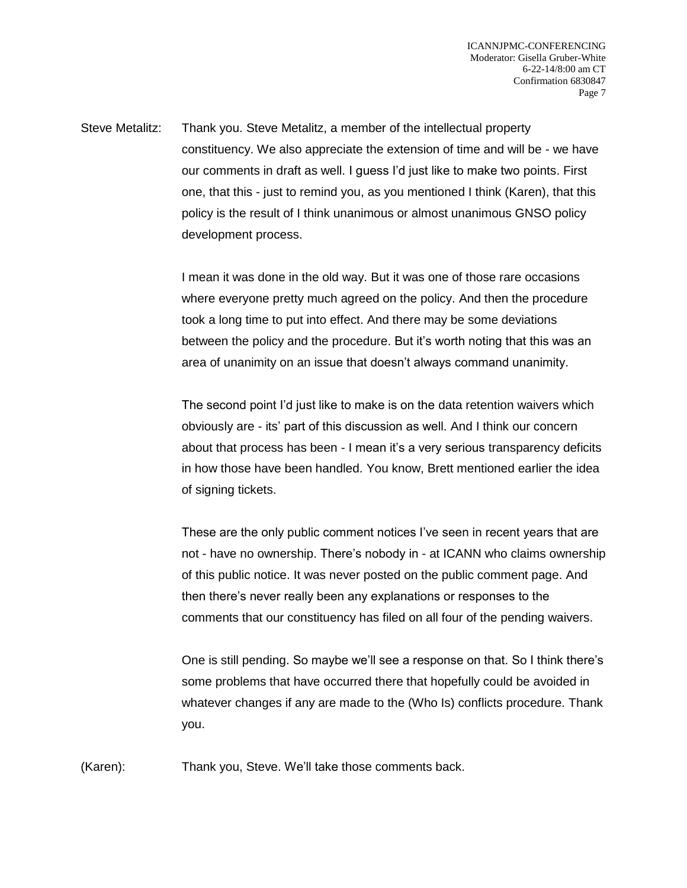Steve Metalitz: Thank you. Steve Metalitz, a member of the intellectual property constituency. We also appreciate the extension of time and will be - we have our comments in draft as well. I guess I'd just like to make two points. First one, that this - just to remind you, as you mentioned I think (Karen), that this policy is the result of I think unanimous or almost unanimous GNSO policy development process.

> I mean it was done in the old way. But it was one of those rare occasions where everyone pretty much agreed on the policy. And then the procedure took a long time to put into effect. And there may be some deviations between the policy and the procedure. But it's worth noting that this was an area of unanimity on an issue that doesn't always command unanimity.

The second point I'd just like to make is on the data retention waivers which obviously are - its' part of this discussion as well. And I think our concern about that process has been - I mean it's a very serious transparency deficits in how those have been handled. You know, Brett mentioned earlier the idea of signing tickets.

These are the only public comment notices I've seen in recent years that are not - have no ownership. There's nobody in - at ICANN who claims ownership of this public notice. It was never posted on the public comment page. And then there's never really been any explanations or responses to the comments that our constituency has filed on all four of the pending waivers.

One is still pending. So maybe we'll see a response on that. So I think there's some problems that have occurred there that hopefully could be avoided in whatever changes if any are made to the (Who Is) conflicts procedure. Thank you.

(Karen): Thank you, Steve. We'll take those comments back.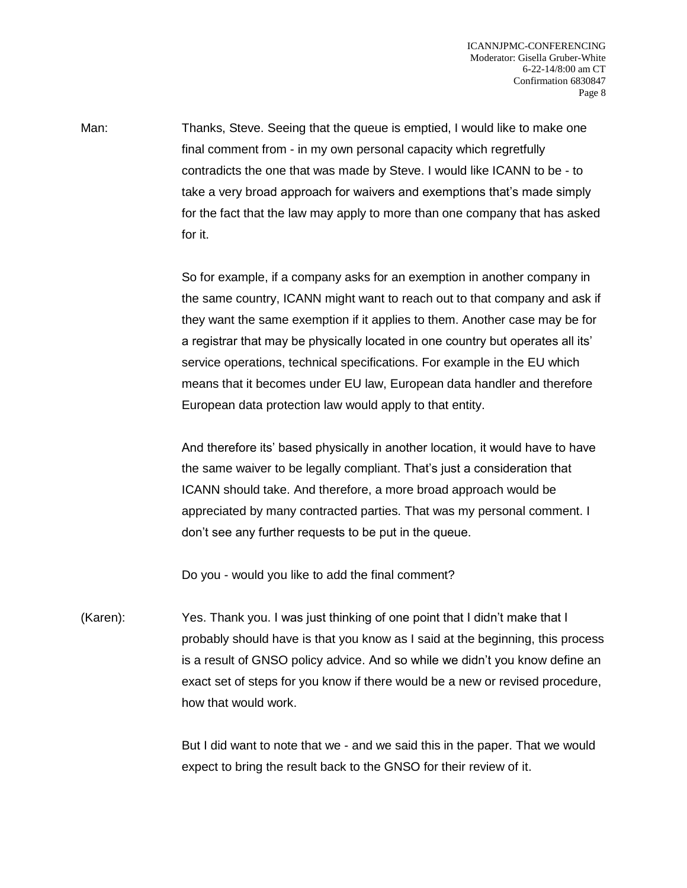Man: Thanks, Steve. Seeing that the queue is emptied, I would like to make one final comment from - in my own personal capacity which regretfully contradicts the one that was made by Steve. I would like ICANN to be - to take a very broad approach for waivers and exemptions that's made simply for the fact that the law may apply to more than one company that has asked for it.

> So for example, if a company asks for an exemption in another company in the same country, ICANN might want to reach out to that company and ask if they want the same exemption if it applies to them. Another case may be for a registrar that may be physically located in one country but operates all its' service operations, technical specifications. For example in the EU which means that it becomes under EU law, European data handler and therefore European data protection law would apply to that entity.

And therefore its' based physically in another location, it would have to have the same waiver to be legally compliant. That's just a consideration that ICANN should take. And therefore, a more broad approach would be appreciated by many contracted parties. That was my personal comment. I don't see any further requests to be put in the queue.

Do you - would you like to add the final comment?

(Karen): Yes. Thank you. I was just thinking of one point that I didn't make that I probably should have is that you know as I said at the beginning, this process is a result of GNSO policy advice. And so while we didn't you know define an exact set of steps for you know if there would be a new or revised procedure, how that would work.

> But I did want to note that we - and we said this in the paper. That we would expect to bring the result back to the GNSO for their review of it.